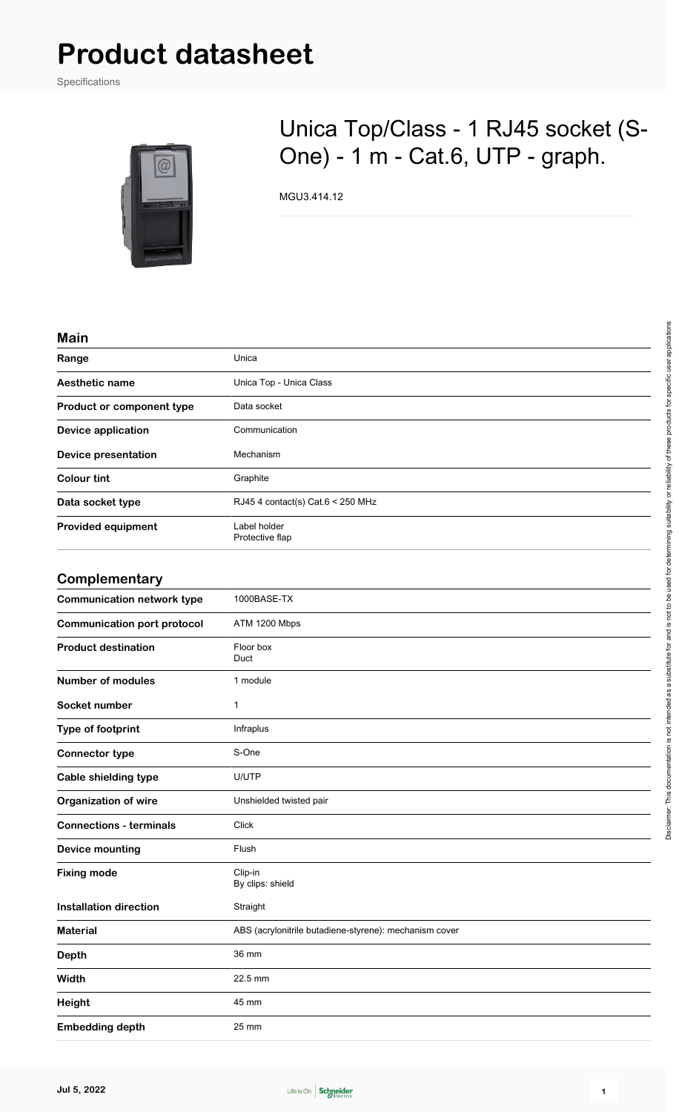# **Product datasheet**

Specifications



## Unica Top/Class - 1 RJ45 socket (S-One) - 1 m - Cat.6, UTP - graph.

MGU3.414.12

#### **Main**

| Range                              | Unica                                                  |
|------------------------------------|--------------------------------------------------------|
| Aesthetic name                     | Unica Top - Unica Class                                |
| Product or component type          | Data socket                                            |
| <b>Device application</b>          | Communication                                          |
| <b>Device presentation</b>         | Mechanism                                              |
| <b>Colour tint</b>                 | Graphite                                               |
| Data socket type                   | RJ45 4 contact(s) Cat.6 < 250 MHz                      |
| <b>Provided equipment</b>          | Label holder<br>Protective flap                        |
| Complementary                      |                                                        |
| <b>Communication network type</b>  | 1000BASE-TX                                            |
| <b>Communication port protocol</b> | ATM 1200 Mbps                                          |
| <b>Product destination</b>         | Floor box<br>Duct                                      |
| <b>Number of modules</b>           | 1 module                                               |
| Socket number                      | $\mathbf{1}$                                           |
| Type of footprint                  | Infraplus                                              |
| <b>Connector type</b>              | S-One                                                  |
| <b>Cable shielding type</b>        | U/UTP                                                  |
| <b>Organization of wire</b>        | Unshielded twisted pair                                |
| <b>Connections - terminals</b>     | Click                                                  |
| <b>Device mounting</b>             | Flush                                                  |
| <b>Fixing mode</b>                 | Clip-in<br>By clips: shield                            |
| <b>Installation direction</b>      | Straight                                               |
| <b>Material</b>                    | ABS (acrylonitrile butadiene-styrene): mechanism cover |
| <b>Depth</b>                       | 36 mm                                                  |
| Width                              | 22.5 mm                                                |
| <b>Height</b>                      | 45 mm                                                  |
| <b>Embedding depth</b>             | 25 mm                                                  |

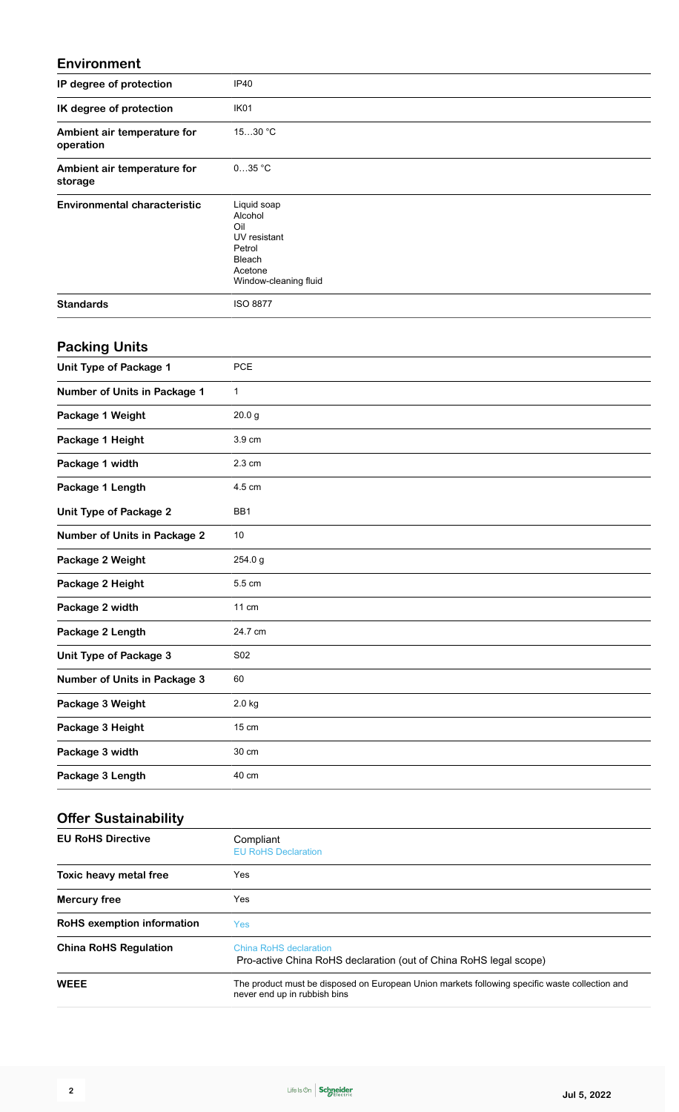#### **Environment**

| IP degree of protection                  | IP40                                                                                                  |
|------------------------------------------|-------------------------------------------------------------------------------------------------------|
| IK degree of protection                  | IK01                                                                                                  |
| Ambient air temperature for<br>operation | 1530 °C                                                                                               |
| Ambient air temperature for<br>storage   | $035$ °C                                                                                              |
| <b>Environmental characteristic</b>      | Liquid soap<br>Alcohol<br>Oil<br>UV resistant<br>Petrol<br>Bleach<br>Acetone<br>Window-cleaning fluid |
| <b>Standards</b>                         | <b>ISO 8877</b>                                                                                       |
| <b>Packing Units</b>                     |                                                                                                       |
| <b>Unit Type of Package 1</b>            | PCE                                                                                                   |
| Number of Units in Package 1             | $\mathbf{1}$                                                                                          |
| Package 1 Weight                         | 20.0 <sub>g</sub>                                                                                     |
| Package 1 Height                         | 3.9 cm                                                                                                |
| Package 1 width                          | 2.3 cm                                                                                                |
| Package 1 Length                         | 4.5 cm                                                                                                |
| <b>Unit Type of Package 2</b>            | BB1                                                                                                   |
| <b>Number of Units in Package 2</b>      | 10                                                                                                    |
| Package 2 Weight                         | 254.0 g                                                                                               |
| Package 2 Height                         | 5.5 cm                                                                                                |
| Package 2 width                          | 11 cm                                                                                                 |
| Package 2 Length                         | 24.7 cm                                                                                               |
| <b>Unit Type of Package 3</b>            | S02                                                                                                   |
| <b>Number of Units in Package 3</b>      | 60                                                                                                    |
| Package 3 Weight                         | 2.0 kg                                                                                                |
| Package 3 Height                         | 15 cm                                                                                                 |
| Package 3 width                          | 30 cm                                                                                                 |
| Package 3 Length                         | 40 cm                                                                                                 |
| <b>Offer Sustainability</b>              |                                                                                                       |
| <b>EU RoHS Directive</b>                 | Compliant<br><b>EU RoHS Declaration</b>                                                               |
| Toxic heavy metal free                   | Yes                                                                                                   |
| <b>Mercury free</b>                      | Yes                                                                                                   |
| RoHS exemption information               | Yes                                                                                                   |